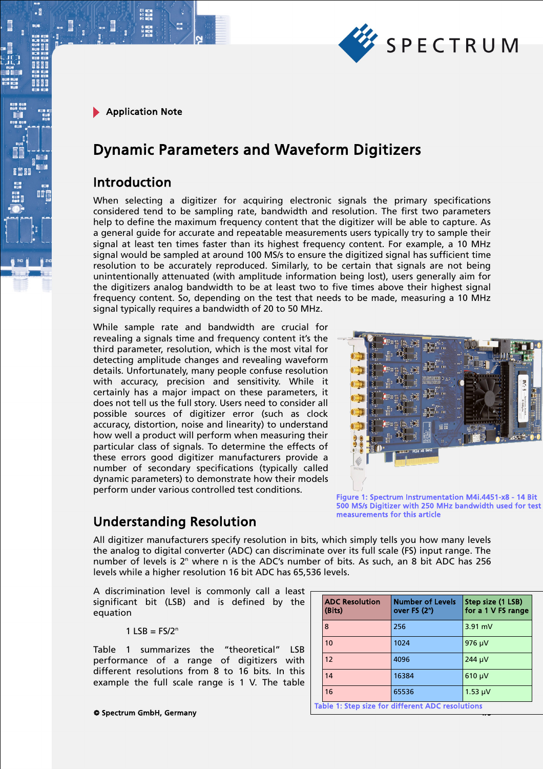

# Dynamic Parameters and Waveform Digitizers

### Introduction

When selecting a digitizer for acquiring electronic signals the primary specifications considered tend to be sampling rate, bandwidth and resolution. The first two parameters help to define the maximum frequency content that the digitizer will be able to capture. As a general guide for accurate and repeatable measurements users typically try to sample their signal at least ten times faster than its highest frequency content. For example, a 10 MHz signal would be sampled at around 100 MS/s to ensure the digitized signal has sufficient time resolution to be accurately reproduced. Similarly, to be certain that signals are not being unintentionally attenuated (with amplitude information being lost), users generally aim for the digitizers analog bandwidth to be at least two to five times above their highest signal frequency content. So, depending on the test that needs to be made, measuring a 10 MHz signal typically requires a bandwidth of 20 to 50 MHz.

While sample rate and bandwidth are crucial for revealing a signals time and frequency content it's the third parameter, resolution, which is the most vital for detecting amplitude changes and revealing waveform details. Unfortunately, many people confuse resolution with accuracy, precision and sensitivity. While it certainly has a major impact on these parameters, it does not tell us the full story. Users need to consider all possible sources of digitizer error (such as clock accuracy, distortion, noise and linearity) to understand how well a product will perform when measuring their particular class of signals. To determine the effects of these errors good digitizer manufacturers provide a number of secondary specifications (typically called dynamic parameters) to demonstrate how their models perform under various controlled test conditions.



#### Figure 1: Spectrum Instrumentation M4i.4451-x8 - 14 Bit 500 MS/s Digitizer with 250 MHz bandwidth used for test measurements for this article

# Understanding Resolution

All digitizer manufacturers specify resolution in bits, which simply tells you how many levels the analog to digital converter (ADC) can discriminate over its full scale (FS) input range. The number of levels is 2<sup>n</sup> where n is the ADC's number of bits. As such, an 8 bit ADC has 256 levels while a higher resolution 16 bit ADC has 65,536 levels.

A discrimination level is commonly call a least significant bit (LSB) and is defined by the equation

1 LSB =  $FS/2<sup>n</sup>$ 

Table 1 summarizes the "theoretical" LSB performance of a range of digitizers with different resolutions from 8 to 16 bits. In this example the full scale range is 1 V. The table

© Spectrum GmbH, Germany 1/5

| <b>ADC Resolution</b><br>(Bits) | <b>Number of Levels</b><br>over FS $(2n)$ | Step size (1 LSB)<br>for a 1 V FS range |  |
|---------------------------------|-------------------------------------------|-----------------------------------------|--|
| 8                               | 256                                       | $3.91$ mV                               |  |
| 10                              | 1024                                      | 976 µV                                  |  |
| 12                              | 4096                                      | 244 µV                                  |  |
| 14                              | 16384                                     | $610 \mu V$                             |  |
| 16                              | 65536                                     | $1.53 \mu V$                            |  |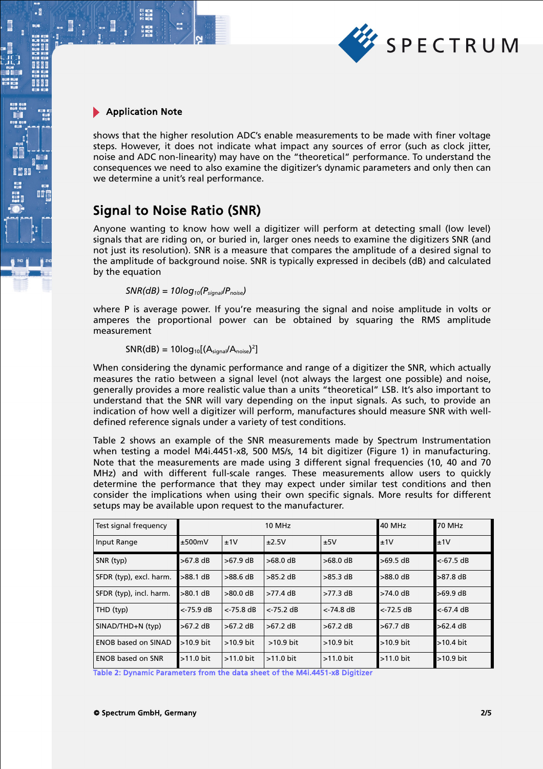

.

shows that the higher resolution ADC's enable measurements to be made with finer voltage steps. However, it does not indicate what impact any sources of error (such as clock jitter, noise and ADC non-linearity) may have on the "theoretical" performance. To understand the consequences we need to also examine the digitizer's dynamic parameters and only then can we determine a unit's real performance.

# Signal to Noise Ratio (SNR)

Anyone wanting to know how well a digitizer will perform at detecting small (low level) signals that are riding on, or buried in, larger ones needs to examine the digitizers SNR (and not just its resolution). SNR is a measure that compares the amplitude of a desired signal to the amplitude of background noise. SNR is typically expressed in decibels (dB) and calculated by the equation

 $SNR(dB) = 10log_{10}(P_{signal}/P_{noise})$ 

where P is average power. If you're measuring the signal and noise amplitude in volts or amperes the proportional power can be obtained by squaring the RMS amplitude measurement

 $SNR(dB) = 10log_{10}[(A_{signal}/A_{noise})^2]$ 

When considering the dynamic performance and range of a digitizer the SNR, which actually measures the ratio between a signal level (not always the largest one possible) and noise, generally provides a more realistic value than a units "theoretical" LSB. It's also important to understand that the SNR will vary depending on the input signals. As such, to provide an indication of how well a digitizer will perform, manufactures should measure SNR with welldefined reference signals under a variety of test conditions.

Table 2 shows an example of the SNR measurements made by Spectrum Instrumentation when testing a model M4i.4451-x8, 500 MS/s, 14 bit digitizer (Figure 1) in manufacturing. Note that the measurements are made using 3 different signal frequencies (10, 40 and 70 MHz) and with different full-scale ranges. These measurements allow users to quickly determine the performance that they may expect under similar test conditions and then consider the implications when using their own specific signals. More results for different setups may be available upon request to the manufacturer.

| Test signal frequency      |             |             | 40 MHz      | <b>70 MHz</b>      |              |              |
|----------------------------|-------------|-------------|-------------|--------------------|--------------|--------------|
| Input Range                | ±500mV      | ±1V         | ±2.5V       | ±5V                | ±1V          | ±1V          |
| SNR (typ)                  | $>67.8$ dB  | $>67.9$ dB  | $>68.0$ dB  | $>68.0$ dB         | $>69.5$ dB   | $<-67.5$ dB  |
| SFDR (typ), excl. harm.    | $>88.1$ dB  | $>88.6$ dB  | $>85.2$ dB  | $>85.3$ dB         | $>88.0$ dB   | $>87.8$ dB   |
| SFDR (typ), incl. harm.    | $>80.1$ dB  | $>80.0$ dB  | $>77.4$ dB  | $>77.3$ dB         | $>74.0$ dB   | $>69.9$ dB   |
| THD (typ)                  | $<-75.9$ dB | $<-75.8$ dB | $<-75.2$ dB | $<-74.8$ dB        | $<$ -72.5 dB | $<$ -67.4 dB |
| SINAD/THD+N (typ)          | $>67.2$ dB  | $>67.2$ dB  | $>67.2$ dB  | $>67.2 \text{ dB}$ | $>67.7$ dB   | $>62.4$ dB   |
| <b>ENOB based on SINAD</b> | $>10.9$ bit | $>10.9$ bit | $>10.9$ bit | $>10.9$ bit        | >10.9 bit    | $>10.4$ bit  |
| <b>ENOB based on SNR</b>   | $>11.0$ bit | $>11.0$ bit | $>11.0$ bit | $>11.0$ bit        | >11.0 bit    | $>10.9$ bit  |

Table 2: Dynamic Parameters from the data sheet of the M4i.4451-x8 Digitizer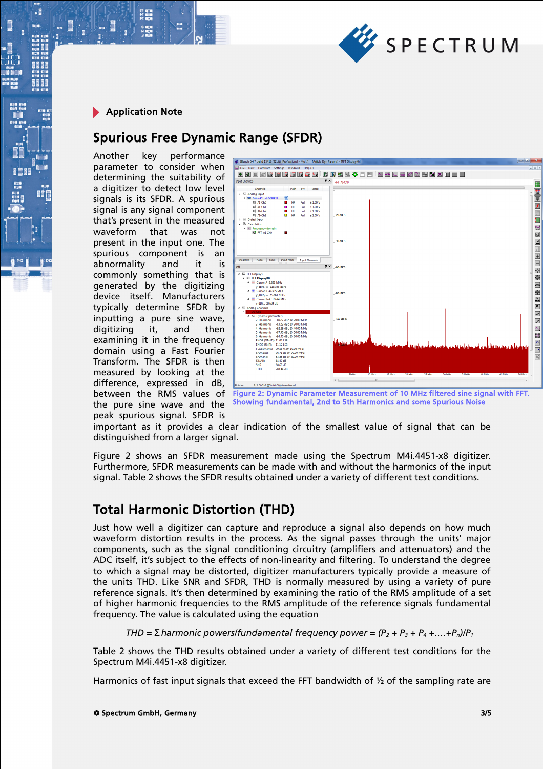

.

## Spurious Free Dynamic Range (SFDR)

Another key performance parameter to consider when determining the suitability of a digitizer to detect low level signals is its SFDR. A spurious signal is any signal component that's present in the measured waveform that was not present in the input one. The spurious component is an abnormality and it is commonly something that is generated by the digitizing device itself. Manufacturers typically determine SFDR by inputting a pure sine wave, digitizing it, and then examining it in the frequency domain using a Fast Fourier Transform. The SFDR is then measured by looking at the difference, expressed in dB, between the RMS values of the pure sine wave and the peak spurious signal. SFDR is



Figure 2: Dynamic Parameter Measurement of 10 MHz filtered sine signal with FFT. Showing fundamental, 2nd to 5th Harmonics and some Spurious Noise

important as it provides a clear indication of the smallest value of signal that can be distinguished from a larger signal.

Figure 2 shows an SFDR measurement made using the Spectrum M4i.4451-x8 digitizer. Furthermore, SFDR measurements can be made with and without the harmonics of the input signal. Table 2 shows the SFDR results obtained under a variety of different test conditions.

# Total Harmonic Distortion (THD)

Just how well a digitizer can capture and reproduce a signal also depends on how much waveform distortion results in the process. As the signal passes through the units' major components, such as the signal conditioning circuitry (amplifiers and attenuators) and the ADC itself, it's subject to the effects of non-linearity and filtering. To understand the degree to which a signal may be distorted, digitizer manufacturers typically provide a measure of the units THD. Like SNR and SFDR, THD is normally measured by using a variety of pure reference signals. It's then determined by examining the ratio of the RMS amplitude of a set of higher harmonic frequencies to the RMS amplitude of the reference signals fundamental frequency. The value is calculated using the equation

 $THD = \sum \text{harmonic powers/fundamental frequency power = } (P_2 + P_3 + P_4 + \ldots + P_n) / P_1$ 

Table 2 shows the THD results obtained under a variety of different test conditions for the Spectrum M4i.4451-x8 digitizer.

Harmonics of fast input signals that exceed the FFT bandwidth of  $\frac{1}{2}$  of the sampling rate are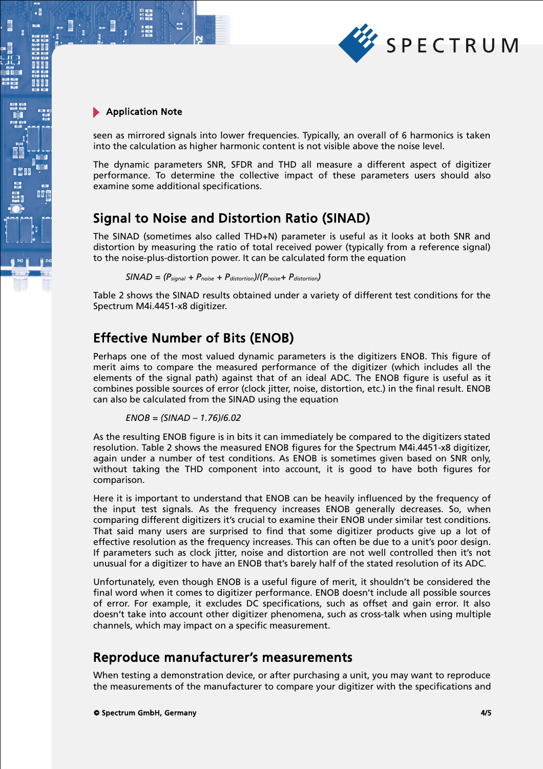

.

seen as mirrored signals into lower frequencies. Typically, an overall of 6 harmonics is taken into the calculation as higher harmonic content is not visible above the noise level.

The dynamic parameters SNR, SFDR and THD all measure a different aspect of digitizer performance. To determine the collective impact of these parameters users should also examine some additional specifications.

# Signal to Noise and Distortion Ratio (SINAD)

The SINAD (sometimes also called THD+N) parameter is useful as it looks at both SNR and distortion by measuring the ratio of total received power (typically from a reference signal) to the noise-plus-distortion power. It can be calculated form the equation

$$
SINAD = (P_{signal} + P_{noise} + P_{distortion})/(P_{noise} + P_{distortion})
$$

Table 2 shows the SINAD results obtained under a variety of different test conditions for the Spectrum M4i.4451-x8 digitizer.

# Effective Number of Bits (ENOB)

Perhaps one of the most valued dynamic parameters is the digitizers ENOB. This figure of merit aims to compare the measured performance of the digitizer (which includes all the elements of the signal path) against that of an ideal ADC. The ENOB figure is useful as it combines possible sources of error (clock jitter, noise, distortion, etc.) in the final result. ENOB can also be calculated from the SINAD using the equation

$$
ENOB = (SINAD - 1.76)/6.02
$$

As the resulting ENOB figure is in bits it can immediately be compared to the digitizers stated resolution. Table 2 shows the measured ENOB figures for the Spectrum M4i.4451-x8 digitizer, again under a number of test conditions. As ENOB is sometimes given based on SNR only, without taking the THD component into account, it is good to have both figures for comparison.

Here it is important to understand that ENOB can be heavily influenced by the frequency of the input test signals. As the frequency increases ENOB generally decreases. So, when comparing different digitizers it's crucial to examine their ENOB under similar test conditions. That said many users are surprised to find that some digitizer products give up a lot of effective resolution as the frequency increases. This can often be due to a unit's poor design. If parameters such as clock jitter, noise and distortion are not well controlled then it's not unusual for a digitizer to have an ENOB that's barely half of the stated resolution of its ADC.

Unfortunately, even though ENOB is a useful figure of merit, it shouldn't be considered the final word when it comes to digitizer performance. ENOB doesn't include all possible sources of error. For example, it excludes DC specifications, such as offset and gain error. It also doesn't take into account other digitizer phenomena, such as cross-talk when using multiple channels, which may impact on a specific measurement.

# Reproduce manufacturer's measurements

When testing a demonstration device, or after purchasing a unit, you may want to reproduce the measurements of the manufacturer to compare your digitizer with the specifications and